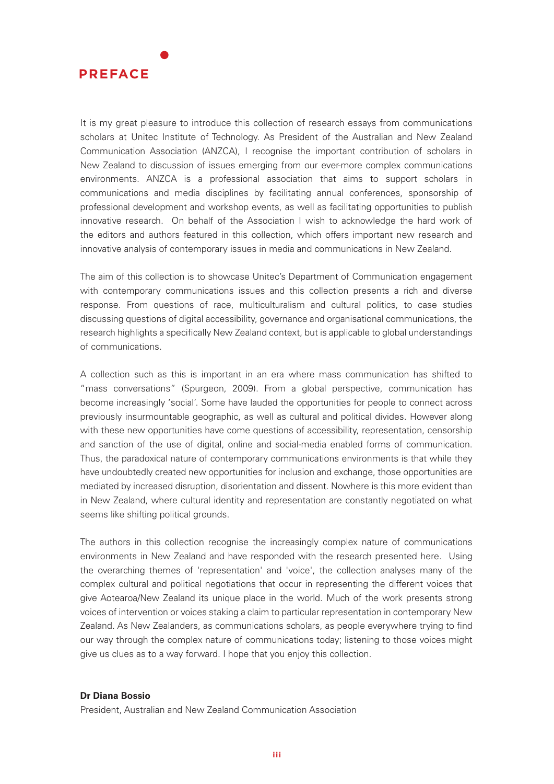

It is my great pleasure to introduce this collection of research essays from communications scholars at Unitec Institute of Technology. As President of the Australian and New Zealand Communication Association (ANZCA), I recognise the important contribution of scholars in New Zealand to discussion of issues emerging from our ever-more complex communications environments. ANZCA is a professional association that aims to support scholars in communications and media disciplines by facilitating annual conferences, sponsorship of professional development and workshop events, as well as facilitating opportunities to publish innovative research. On behalf of the Association I wish to acknowledge the hard work of the editors and authors featured in this collection, which offers important new research and innovative analysis of contemporary issues in media and communications in New Zealand.

The aim of this collection is to showcase Unitec's Department of Communication engagement with contemporary communications issues and this collection presents a rich and diverse response. From questions of race, multiculturalism and cultural politics, to case studies discussing questions of digital accessibility, governance and organisational communications, the research highlights a specifically New Zealand context, but is applicable to global understandings of communications.

A collection such as this is important in an era where mass communication has shifted to "mass conversations" (Spurgeon, 2009). From a global perspective, communication has become increasingly 'social'. Some have lauded the opportunities for people to connect across previously insurmountable geographic, as well as cultural and political divides. However along with these new opportunities have come questions of accessibility, representation, censorship and sanction of the use of digital, online and social-media enabled forms of communication. Thus, the paradoxical nature of contemporary communications environments is that while they have undoubtedly created new opportunities for inclusion and exchange, those opportunities are mediated by increased disruption, disorientation and dissent. Nowhere is this more evident than in New Zealand, where cultural identity and representation are constantly negotiated on what seems like shifting political grounds.

The authors in this collection recognise the increasingly complex nature of communications environments in New Zealand and have responded with the research presented here. Using the overarching themes of 'representation' and 'voice', the collection analyses many of the complex cultural and political negotiations that occur in representing the different voices that give Aotearoa/New Zealand its unique place in the world. Much of the work presents strong voices of intervention or voices staking a claim to particular representation in contemporary New Zealand. As New Zealanders, as communications scholars, as people everywhere trying to find our way through the complex nature of communications today; listening to those voices might give us clues as to a way forward. I hope that you enjoy this collection.

## **Dr Diana Bossio**

President, Australian and New Zealand Communication Association